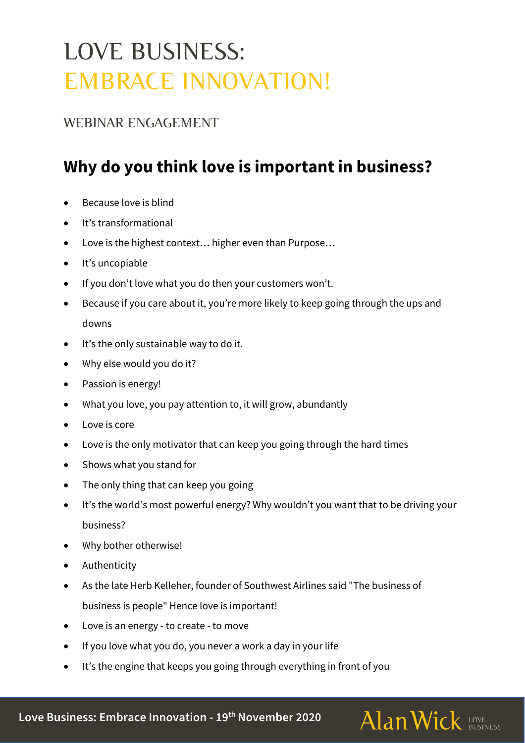# LOVE BUSINESS: EMBRACE INNOVATION!

#### WEBINAR ENGAGEMENT

# **Why do you think love is important in business?**

- Because love is blind
- It's transformational
- Love is the highest context… higher even than Purpose…
- It's uncopiable
- If you don't love what you do then your customers won't.
- Because if you care about it, you're more likely to keep going through the ups and downs
- It's the only sustainable way to do it.
- Why else would you do it?
- Passion is energy!
- What you love, you pay attention to, it will grow, abundantly
- Love is core
- Love is the only motivator that can keep you going through the hard times
- Shows what you stand for
- The only thing that can keep you going
- It's the world's most powerful energy? Why wouldn't you want that to be driving your business?

Alan Wick LOVE AND **Alan Wick** 

- Why bother otherwise!
- Authenticity
- As the late Herb Kelleher, founder of Southwest Airlines said "The business of business is people" Hence love is important!
- Love is an energy to create to move
- If you love what you do, you never a work a day in your life
- It's the engine that keeps you going through everything in front of you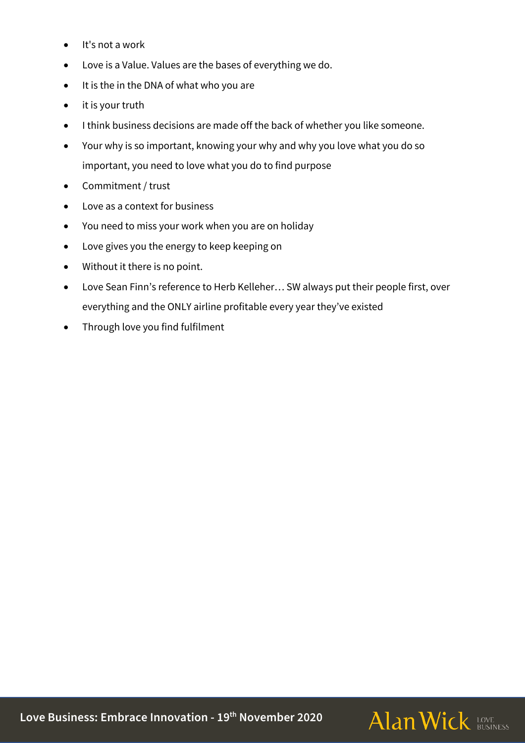- It's not a work
- Love is a Value. Values are the bases of everything we do.
- It is the in the DNA of what who you are
- it is your truth
- I think business decisions are made off the back of whether you like someone.
- Your why is so important, knowing your why and why you love what you do so important, you need to love what you do to find purpose
- Commitment / trust
- Love as a context for business
- You need to miss your work when you are on holiday
- Love gives you the energy to keep keeping on
- Without it there is no point.
- Love Sean Finn's reference to Herb Kelleher… SW always put their people first, over everything and the ONLY airline profitable every year they've existed
- Through love you find fulfilment

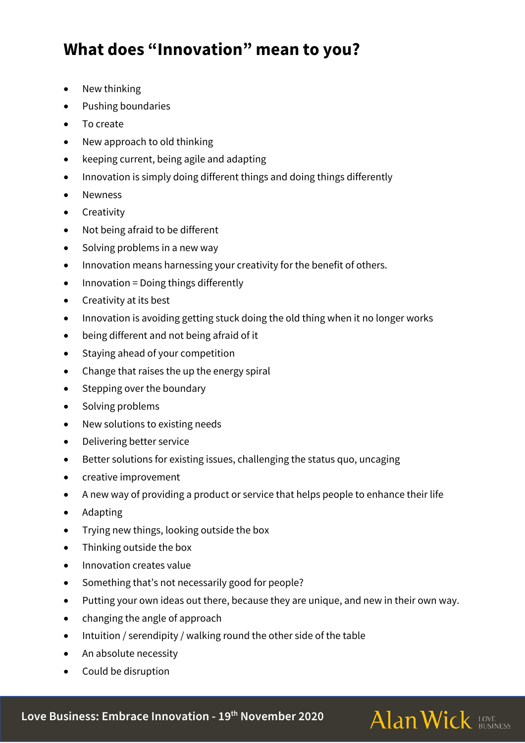## **What does "Innovation" mean to you?**

- New thinking
- Pushing boundaries
- To create
- New approach to old thinking
- keeping current, being agile and adapting
- Innovation is simply doing different things and doing things differently
- Newness
- Creativity
- Not being afraid to be different
- Solving problems in a new way
- Innovation means harnessing your creativity for the benefit of others.
- Innovation = Doing things differently
- Creativity at its best
- Innovation is avoiding getting stuck doing the old thing when it no longer works
- being different and not being afraid of it
- Staying ahead of your competition
- Change that raises the up the energy spiral
- Stepping over the boundary
- Solving problems
- New solutions to existing needs
- Delivering better service
- Better solutions for existing issues, challenging the status quo, uncaging
- creative improvement
- A new way of providing a product or service that helps people to enhance their life
- Adapting
- Trying new things, looking outside the box
- Thinking outside the box
- Innovation creates value
- Something that's not necessarily good for people?
- Putting your own ideas out there, because they are unique, and new in their own way.

**Alan Wick LOVE AND** 

- changing the angle of approach
- Intuition / serendipity / walking round the other side of the table
- An absolute necessity
- Could be disruption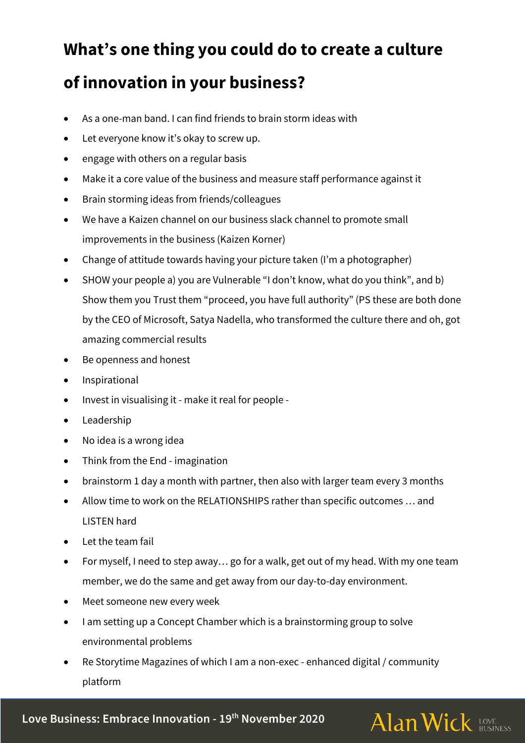#### **What's one thing you could do to create a culture**

### **of innovation in your business?**

- As a one-man band. I can find friends to brain storm ideas with
- Let everyone know it's okay to screw up.
- engage with others on a regular basis
- Make it a core value of the business and measure staff performance against it
- Brain storming ideas from friends/colleagues
- We have a Kaizen channel on our business slack channel to promote small improvements in the business (Kaizen Korner)
- Change of attitude towards having your picture taken (I'm a photographer)
- SHOW your people a) you are Vulnerable "I don't know, what do you think", and b) Show them you Trust them "proceed, you have full authority" (PS these are both done by the CEO of Microsoft, Satya Nadella, who transformed the culture there and oh, got amazing commercial results
- Be openness and honest
- Inspirational
- Invest in visualising it make it real for people -
- Leadership
- No idea is a wrong idea
- Think from the End imagination
- brainstorm 1 day a month with partner, then also with larger team every 3 months
- Allow time to work on the RELATIONSHIPS rather than specific outcomes … and LISTEN hard
- Let the team fail
- For myself, I need to step away… go for a walk, get out of my head. With my one team member, we do the same and get away from our day-to-day environment.
- Meet someone new every week
- I am setting up a Concept Chamber which is a brainstorming group to solve environmental problems
- Re Storytime Magazines of which I am a non-exec enhanced digital / community platform

Alan Wick LOVE ALOVE

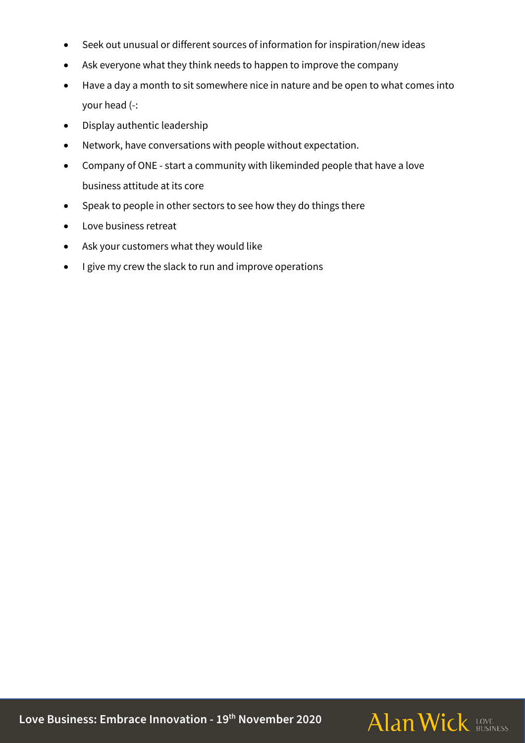- Seek out unusual or different sources of information for inspiration/new ideas
- Ask everyone what they think needs to happen to improve the company
- Have a day a month to sit somewhere nice in nature and be open to what comes into your head (-:
- Display authentic leadership
- Network, have conversations with people without expectation.
- Company of ONE start a community with likeminded people that have a love business attitude at its core
- Speak to people in other sectors to see how they do things there
- Love business retreat
- Ask your customers what they would like
- I give my crew the slack to run and improve operations

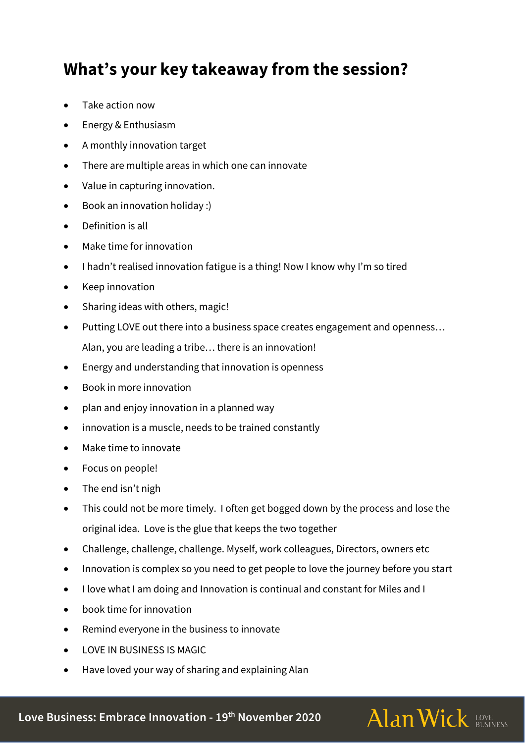#### **What's your key takeaway from the session?**

- Take action now
- Energy & Enthusiasm
- A monthly innovation target
- There are multiple areas in which one can innovate
- Value in capturing innovation.
- Book an innovation holiday :)
- Definition is all
- Make time for innovation
- I hadn't realised innovation fatigue is a thing! Now I know why I'm so tired
- Keep innovation
- Sharing ideas with others, magic!
- Putting LOVE out there into a business space creates engagement and openness… Alan, you are leading a tribe… there is an innovation!
- Energy and understanding that innovation is openness
- Book in more innovation
- plan and enjoy innovation in a planned way
- innovation is a muscle, needs to be trained constantly
- Make time to innovate
- Focus on people!
- The end isn't nigh
- This could not be more timely. I often get bogged down by the process and lose the original idea. Love is the glue that keeps the two together
- Challenge, challenge, challenge. Myself, work colleagues, Directors, owners etc
- Innovation is complex so you need to get people to love the journey before you start
- I love what I am doing and Innovation is continual and constant for Miles and I
- book time for innovation
- Remind everyone in the business to innovate
- **LOVE IN BUSINESS IS MAGIC**
- Have loved your way of sharing and explaining Alan

**Love Business: Embrace Innovation - 19th November 2020**